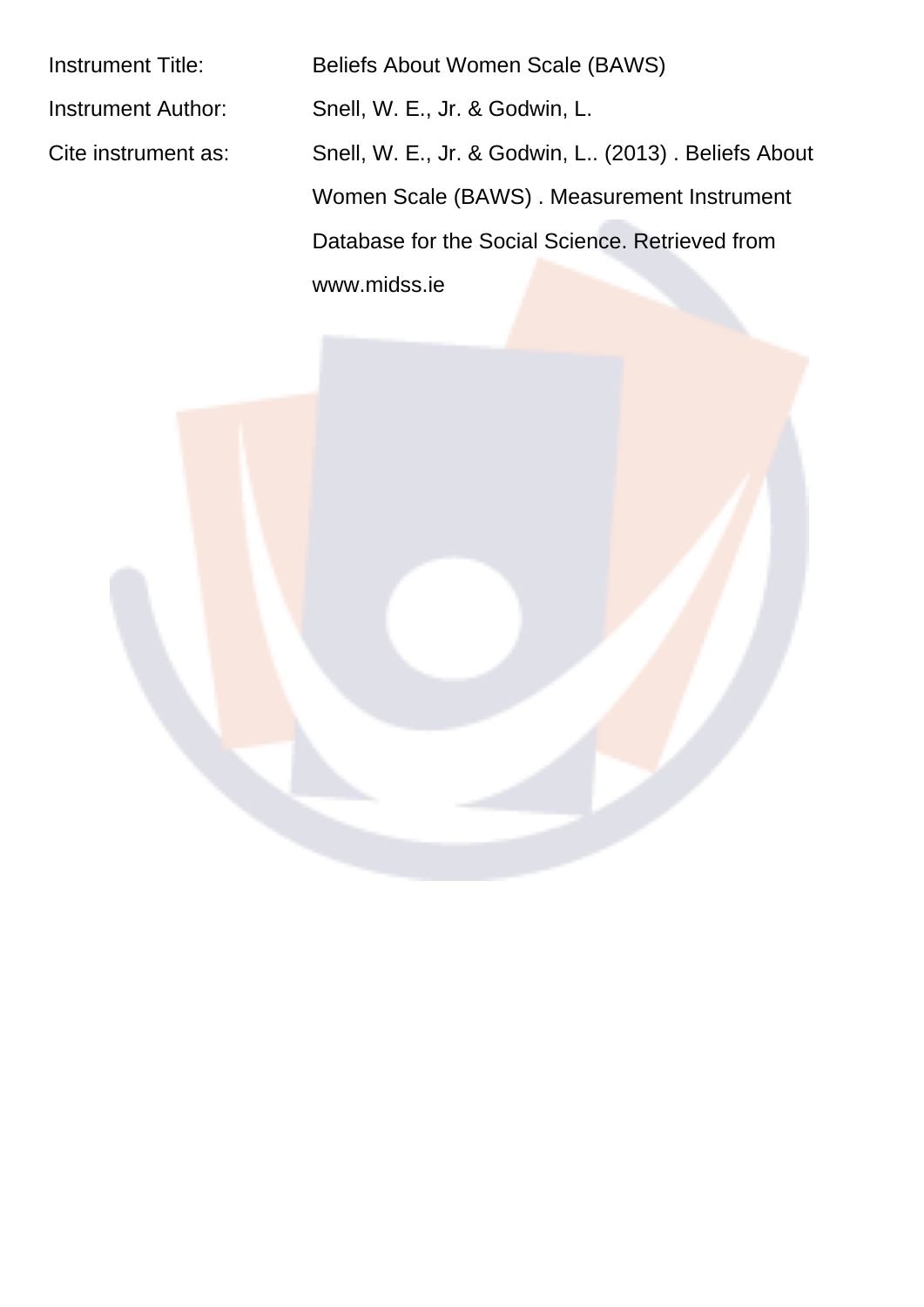Instrument Title: Beliefs About Women Scale (BAWS) Instrument Author: Snell, W. E., Jr. & Godwin, L. Cite instrument as: Snell, W. E., Jr. & Godwin, L.. (2013) . Beliefs About Women Scale (BAWS) . Measurement Instrument Database for the Social Science. Retrieved from www.midss.ie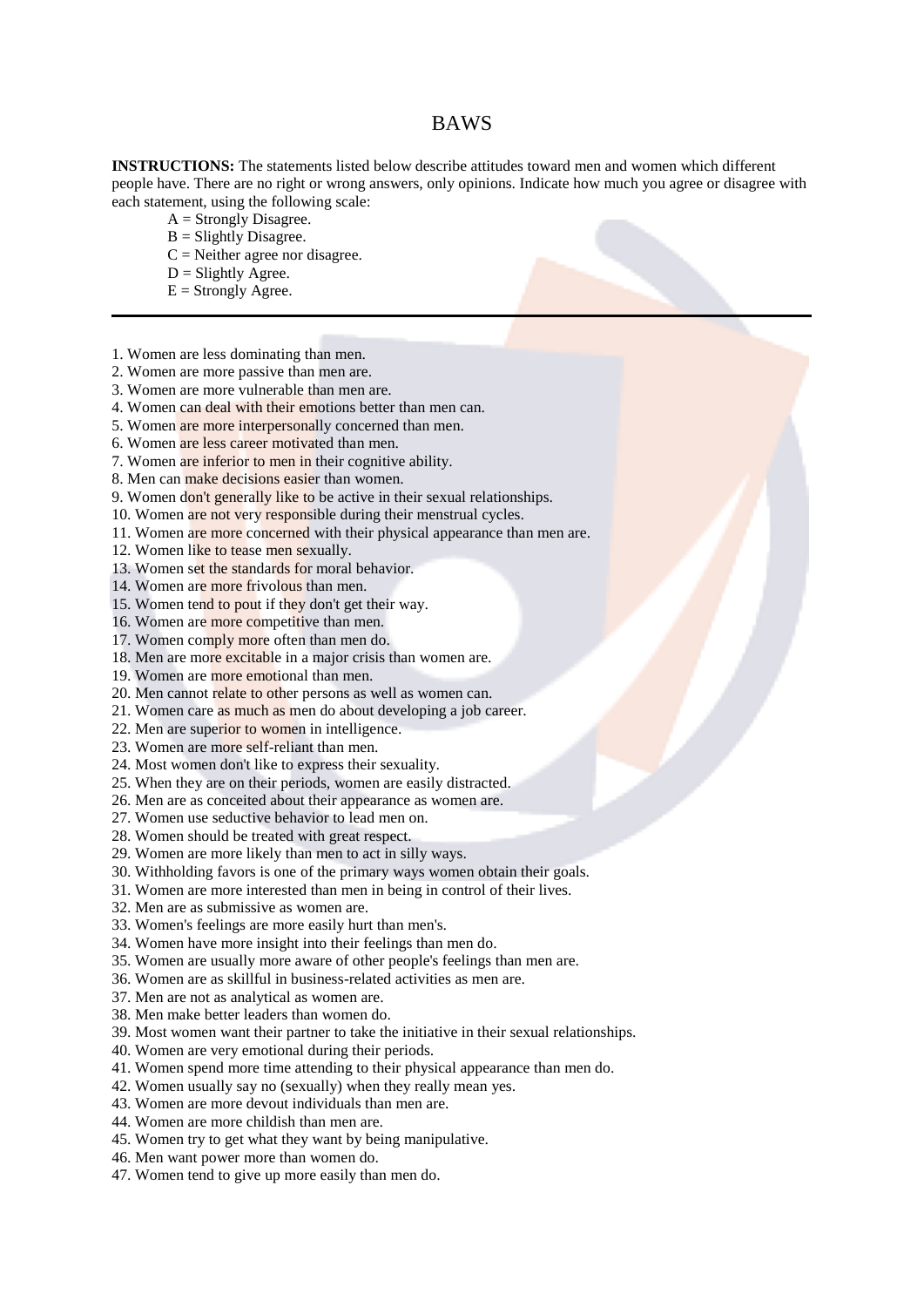## **BAWS**

**INSTRUCTIONS:** The statements listed below describe attitudes toward men and women which different people have. There are no right or wrong answers, only opinions. Indicate how much you agree or disagree with each statement, using the following scale:

- $A =$  Strongly Disagree.
- $B =$  Slightly Disagree.
- $C =$  Neither agree nor disagree.
- $D = S$ lightly Agree.
- $E =$  Strongly Agree.
- 1. Women are less dominating than men.
- 2. Women are more passive than men are.
- 3. Women are more vulnerable than men are.
- 4. Women can deal with their emotions better than men can.
- 5. Women are more interpersonally concerned than men.
- 6. Women are less career motivated than men.
- 7. Women are inferior to men in their cognitive ability.
- 8. Men can make decisions easier than women.
- 9. Women don't generally like to be active in their sexual relationships.
- 10. Women are not very responsible during their menstrual cycles.
- 11. Women are more concerned with their physical appearance than men are.
- 12. Women like to tease men sexually.
- 13. Women set the standards for moral behavior.
- 14. Women are more frivolous than men.
- 15. Women tend to pout if they don't get their way.
- 16. Women are more competitive than men.
- 17. Women comply more often than men do.
- 18. Men are more excitable in a major crisis than women are.
- 19. Women are more emotional than men.
- 20. Men cannot relate to other persons as well as women can.
- 21. Women care as much as men do about developing a job career.
- 22. Men are superior to women in intelligence.
- 23. Women are more self-reliant than men.
- 24. Most women don't like to express their sexuality.
- 25. When they are on their periods, women are easily distracted.
- 26. Men are as conceited about their appearance as women are.
- 27. Women use seductive behavior to lead men on.
- 28. Women should be treated with great respect.
- 29. Women are more likely than men to act in silly ways.
- 30. Withholding favors is one of the primary ways women obtain their goals.
- 31. Women are more interested than men in being in control of their lives.
- 32. Men are as submissive as women are.
- 33. Women's feelings are more easily hurt than men's.
- 34. Women have more insight into their feelings than men do.
- 35. Women are usually more aware of other people's feelings than men are.
- 36. Women are as skillful in business-related activities as men are.
- 37. Men are not as analytical as women are.
- 38. Men make better leaders than women do.
- 39. Most women want their partner to take the initiative in their sexual relationships.
- 40. Women are very emotional during their periods.
- 41. Women spend more time attending to their physical appearance than men do.
- 42. Women usually say no (sexually) when they really mean yes.
- 43. Women are more devout individuals than men are.
- 44. Women are more childish than men are.
- 45. Women try to get what they want by being manipulative.
- 46. Men want power more than women do.
- 47. Women tend to give up more easily than men do.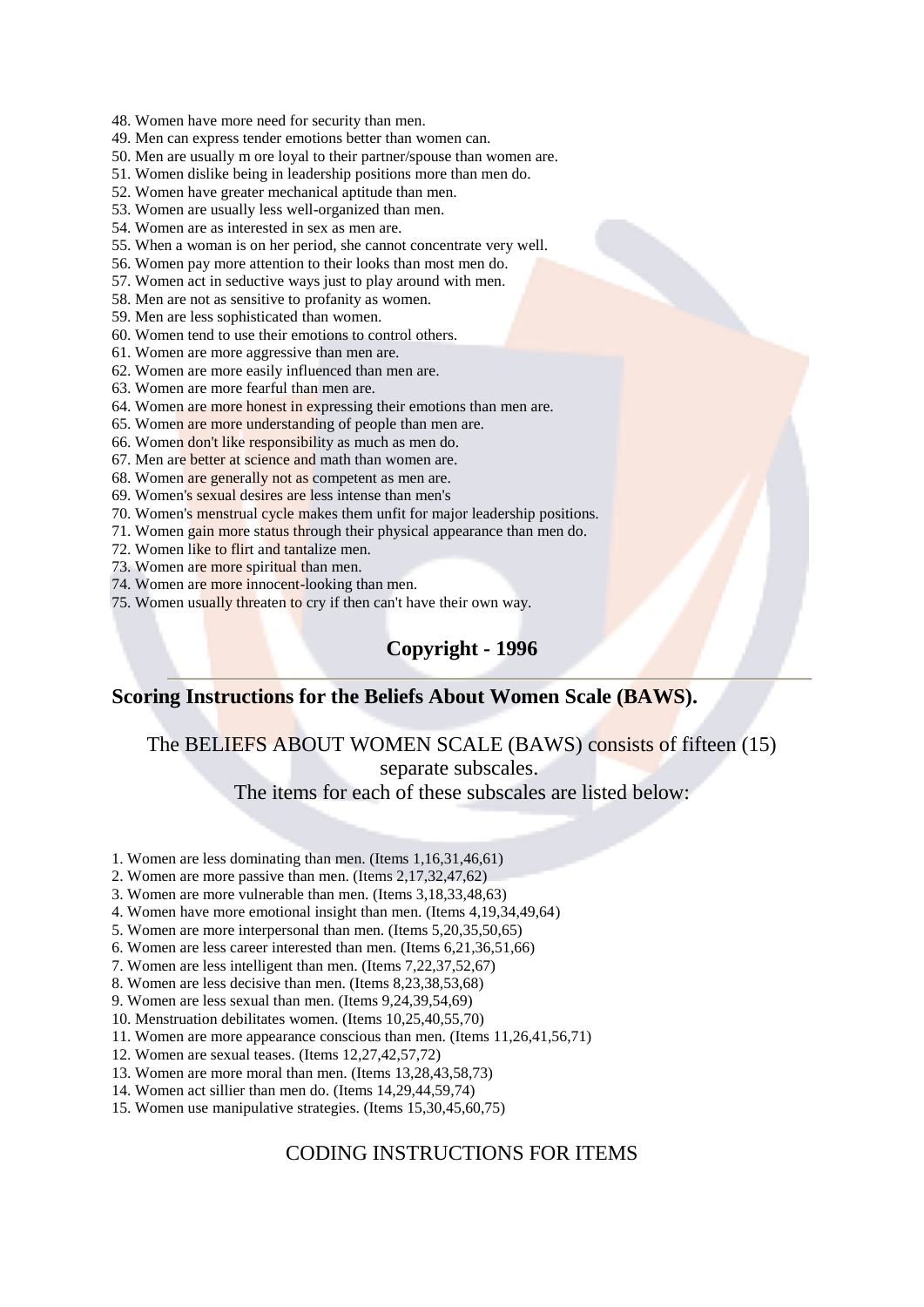48. Women have more need for security than men.

49. Men can express tender emotions better than women can.

50. Men are usually m ore loval to their partner/spouse than women are.

51. Women dislike being in leadership positions more than men do.

52. Women have greater mechanical aptitude than men.

53. Women are usually less well-organized than men.

54. Women are as interested in sex as men are.

55. When a woman is on her period, she cannot concentrate very well.

56. Women pay more attention to their looks than most men do.

57. Women act in seductive ways just to play around with men.

58. Men are not as sensitive to profanity as women.

59. Men are less sophisticated than women.

60. Women tend to use their emotions to control others.

61. Women are more aggressive than men are.

62. Women are more easily influenced than men are.

63. Women are more fearful than men are.

64. Women are more honest in expressing their emotions than men are.

65. Women are more understanding of people than men are.

66. Women don't like responsibility as much as men do.

67. Men are better at science and math than women are.

68. Women are generally not as competent as men are.

69. Women's sexual desires are less intense than men's

70. Women's menstrual cycle makes them unfit for major leadership positions.

71. Women gain more status through their physical appearance than men do.

72. Women like to flirt and tantalize men.

73. Women are more spiritual than men.

74. Women are more innocent-looking than men.

75. Women usually threaten to cry if then can't have their own way.

## Copyright - 1996

## Scoring Instructions for the Beliefs About Women Scale (BAWS).

The BELIEFS ABOUT WOMEN SCALE (BAWS) consists of fifteen (15) separate subscales.

The items for each of these subscales are listed below:

1. Women are less dominating than men. (Items 1,16,31,46,61)

2. Women are more passive than men. (Items 2, 17, 32, 47, 62)

3. Women are more vulnerable than men. (Items 3,18,33,48,63)

4. Women have more emotional insight than men. (Items 4, 19, 34, 49, 64)

5. Women are more interpersonal than men. (Items 5,20,35,50,65)

6. Women are less career interested than men. (Items 6,21,36,51,66)

7. Women are less intelligent than men. (Items 7,22,37,52,67)

8. Women are less decisive than men. (Items 8.23.38.53.68)

9. Women are less sexual than men. (Items 9,24,39,54,69)

10. Menstruation debilitates women. (Items 10,25,40,55,70)

11. Women are more appearance conscious than men. (Items 11.26.41.56.71)

12. Women are sexual teases. (Items 12,27,42,57,72)

13. Women are more moral than men. (Items 13,28,43,58,73)

14. Women act sillier than men do. (Items 14,29,44,59,74)

15. Women use manipulative strategies. (Items 15,30,45,60,75)

## **CODING INSTRUCTIONS FOR ITEMS**